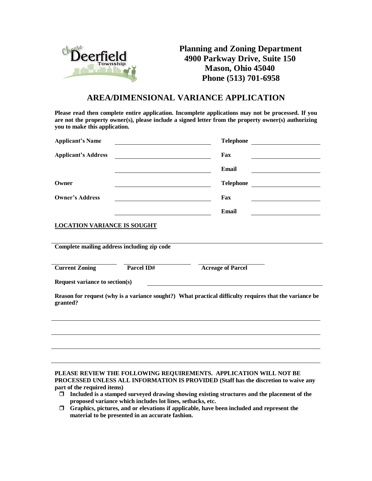

**Planning and Zoning Department 4900 Parkway Drive, Suite 150 Mason, Ohio 45040 Phone (513) 701-6958**

## **AREA/DIMENSIONAL VARIANCE APPLICATION**

**Please read then complete entire application. Incomplete applications may not be processed. If you are not the property owner(s), please include a signed letter from the property owner(s) authorizing you to make this application.**

| <b>Applicant's Name</b>                                                                                            |            | <b>Telephone</b>                                  |  |  |  |
|--------------------------------------------------------------------------------------------------------------------|------------|---------------------------------------------------|--|--|--|
| <b>Applicant's Address</b>                                                                                         |            | Fax                                               |  |  |  |
|                                                                                                                    |            | Email<br><u> 1990 - Johann Barbara, p</u> ersonal |  |  |  |
| Owner                                                                                                              |            | <b>Telephone</b>                                  |  |  |  |
| <b>Owner's Address</b>                                                                                             |            | Fax                                               |  |  |  |
|                                                                                                                    |            | Email                                             |  |  |  |
| <b>LOCATION VARIANCE IS SOUGHT</b>                                                                                 |            |                                                   |  |  |  |
|                                                                                                                    |            |                                                   |  |  |  |
| Complete mailing address including zip code                                                                        |            |                                                   |  |  |  |
| <b>Current Zoning</b>                                                                                              | Parcel ID# | <b>Acreage of Parcel</b>                          |  |  |  |
| Request variance to section(s)<br><u> 1980 - Johann Barnett, fransk politiker (d. 1980)</u>                        |            |                                                   |  |  |  |
| Reason for request (why is a variance sought?) What practical difficulty requires that the variance be<br>granted? |            |                                                   |  |  |  |
|                                                                                                                    |            |                                                   |  |  |  |
|                                                                                                                    |            |                                                   |  |  |  |
|                                                                                                                    |            |                                                   |  |  |  |
|                                                                                                                    |            |                                                   |  |  |  |
|                                                                                                                    |            |                                                   |  |  |  |

**PLEASE REVIEW THE FOLLOWING REQUIREMENTS. APPLICATION WILL NOT BE PROCESSED UNLESS ALL INFORMATION IS PROVIDED (Staff has the discretion to waive any part of the required items)**

- **Included is a stamped surveyed drawing showing existing structures and the placement of the proposed variance which includes lot lines, setbacks, etc.**
- **Graphics, pictures, and or elevations if applicable, have been included and represent the material to be presented in an accurate fashion.**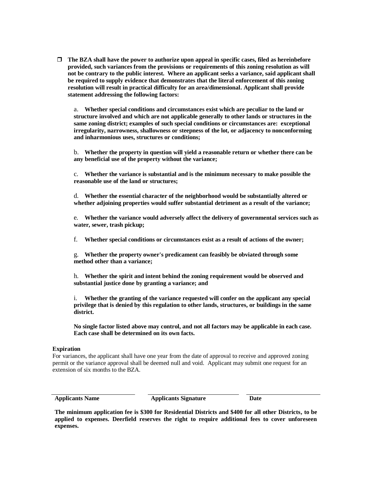**The BZA shall have the power to authorize upon appeal in specific cases, filed as hereinbefore provided, such variances from the provisions or requirements of this zoning resolution as will not be contrary to the public interest. Where an applicant seeks a variance, said applicant shall be required to supply evidence that demonstrates that the literal enforcement of this zoning resolution will result in practical difficulty for an area/dimensional. Applicant shall provide statement addressing the following factors:**

a. **Whether special conditions and circumstances exist which are peculiar to the land or structure involved and which are not applicable generally to other lands or structures in the same zoning district; examples of such special conditions or circumstances are: exceptional irregularity, narrowness, shallowness or steepness of the lot, or adjacency to nonconforming and inharmonious uses, structures or conditions;**

b. **Whether the property in question will yield a reasonable return or whether there can be any beneficial use of the property without the variance;**

c. **Whether the variance is substantial and is the minimum necessary to make possible the reasonable use of the land or structures;**

d. **Whether the essential character of the neighborhood would be substantially altered or whether adjoining properties would suffer substantial detriment as a result of the variance;**

e. **Whether the variance would adversely affect the delivery of governmental services such as water, sewer, trash pickup;**

f. **Whether special conditions or circumstances exist as a result of actions of the owner;**

g. **Whether the property owner's predicament can feasibly be obviated through some method other than a variance;**

h. **Whether the spirit and intent behind the zoning requirement would be observed and substantial justice done by granting a variance; and**

i. **Whether the granting of the variance requested will confer on the applicant any special privilege that is denied by this regulation to other lands, structures, or buildings in the same district.**

**No single factor listed above may control, and not all factors may be applicable in each case. Each case shall be determined on its own facts.**

## **Expiration**

For variances, the applicant shall have one year from the date of approval to receive and approved zoning permit or the variance approval shall be deemed null and void. Applicant may submit one request for an extension of six months to the BZA.

**Applicants Name Applicants Signature Date**

**The minimum application fee is \$300 for Residential Districts and \$400 for all other Districts, to be applied to expenses. Deerfield reserves the right to require additional fees to cover unforeseen expenses.**